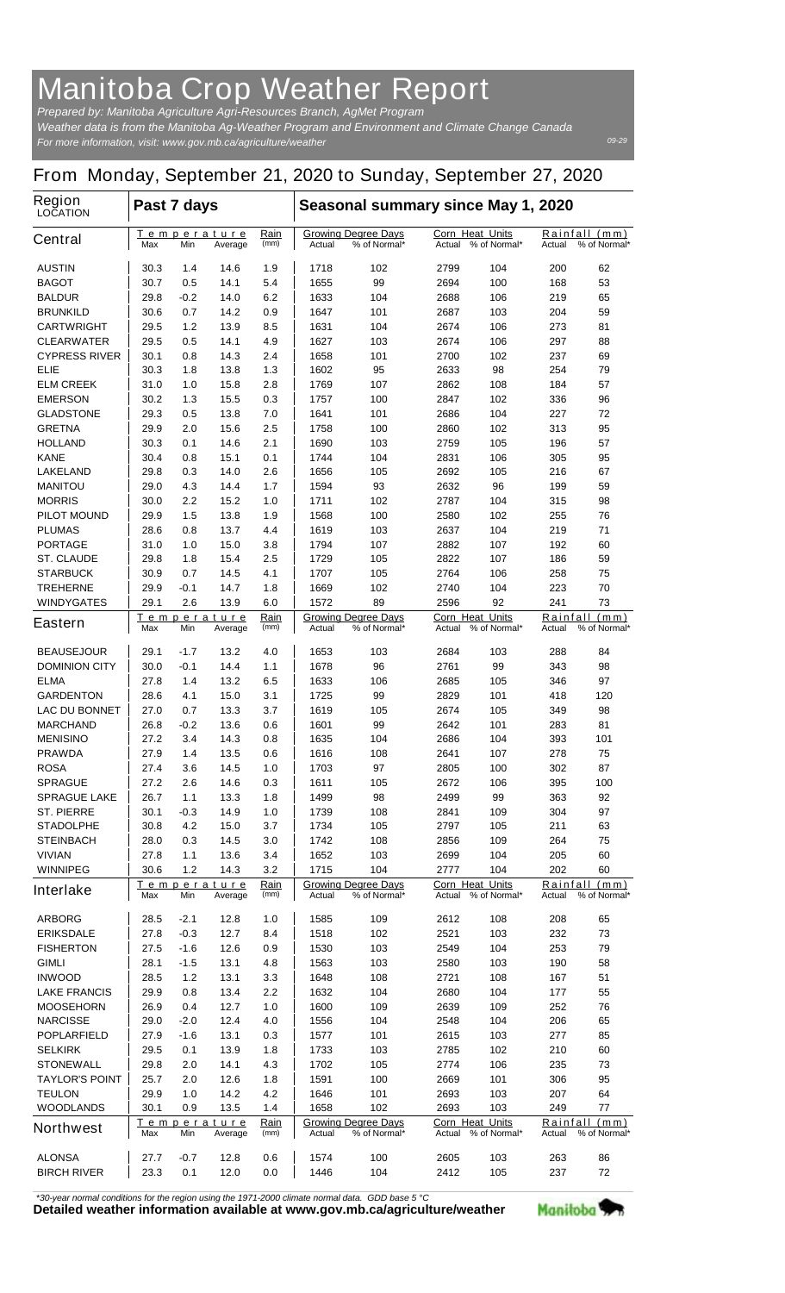## **Manitoba Crop Weather Report**

*For more information, visit: www.gov.mb.ca/agriculture/weather Prepared by: Manitoba Agriculture Agri-Resources Branch, AgMet Program Weather data is from the Manitoba Ag-Weather Program and Environment and Climate Change Canada*

## **From Monday, September 21, 2020 to Sunday, September 27, 2020**

| <b>Region</b><br><b>LOCATION</b>    | Past 7 days                          |             |                        |                                                      | Seasonal summary since May 1, 2020 |                                                  |                                                  |                                            |                                         |                               |
|-------------------------------------|--------------------------------------|-------------|------------------------|------------------------------------------------------|------------------------------------|--------------------------------------------------|--------------------------------------------------|--------------------------------------------|-----------------------------------------|-------------------------------|
| <b>Central</b>                      | Temperature<br>Max<br>Min<br>Average |             |                        | Rain<br>(mm)                                         | Actual                             | <b>Growing Degree Days</b><br>% of Normal*       | <b>Corn Heat Units</b><br>Actual<br>% of Normal* |                                            | Rainfall (mm)<br>% of Normal*<br>Actual |                               |
| <b>AUSTIN</b>                       | 30.3                                 | 1.4         | 14.6                   | 1.9                                                  | 1718                               | 102                                              | 2799                                             | 104                                        | 200                                     | 62                            |
| <b>BAGOT</b>                        | 30.7                                 | 0.5         | 14.1                   | 5.4                                                  | 1655                               | 99                                               | 2694                                             | 100                                        | 168                                     | 53                            |
| <b>BALDUR</b>                       | 29.8                                 | -0.2        | 14.0                   | 6.2                                                  | 1633                               | 104                                              | 2688                                             | 106                                        | 219                                     | 65                            |
| <b>BRUNKILD</b>                     | 30.6                                 | 0.7         | 14.2                   | 0.9                                                  | 1647                               | 101                                              | 2687                                             | 103                                        | 204                                     | 59                            |
| <b>CARTWRIGHT</b>                   | 29.5                                 | 1.2         | 13.9                   | 8.5                                                  | 1631                               | 104                                              | 2674                                             | 106                                        | 273                                     | 81                            |
| <b>CLEARWATER</b>                   | 29.5                                 | 0.5         | 14.1                   | 4.9                                                  | 1627                               | 103                                              | 2674                                             | 106                                        | 297                                     | 88                            |
| <b>CYPRESS RIVER</b><br>ELIE        | 30.1<br>30.3                         | 0.8<br>1.8  | 14.3<br>13.8           | 2.4<br>1.3                                           | 1658<br>1602                       | 101<br>95                                        | 2700<br>2633                                     | 102<br>98                                  | 237<br>254                              | 69<br>79                      |
| <b>ELM CREEK</b>                    | 31.0                                 | 1.0         | 15.8                   | 2.8                                                  | 1769                               | 107                                              | 2862                                             | 108                                        | 184                                     | 57                            |
| <b>EMERSON</b>                      | 30.2                                 | 1.3         | 15.5                   | 0.3                                                  | 1757                               | 100                                              | 2847                                             | 102                                        | 336                                     | 96                            |
| <b>GLADSTONE</b>                    | 29.3                                 | 0.5         | 13.8                   | 7.0                                                  | 1641                               | 101                                              | 2686                                             | 104                                        | 227                                     | 72                            |
| <b>GRETNA</b>                       | 29.9                                 | 2.0         | 15.6                   | 2.5                                                  | 1758                               | 100                                              | 2860                                             | 102                                        | 313                                     | 95                            |
| <b>HOLLAND</b>                      | 30.3                                 | 0.1         | 14.6                   | 2.1                                                  | 1690                               | 103                                              | 2759                                             | 105                                        | 196                                     | 57                            |
| <b>KANE</b>                         | 30.4                                 | 0.8         | 15.1                   | 0.1                                                  | 1744                               | 104                                              | 2831                                             | 106                                        | 305                                     | 95                            |
| <b>LAKELAND</b>                     | 29.8                                 | 0.3         | 14.0                   | 2.6                                                  | 1656                               | 105                                              | 2692                                             | 105                                        | 216                                     | 67                            |
| <b>MANITOU</b>                      | 29.0                                 | 4.3         | 14.4                   | 1.7                                                  | 1594                               | 93                                               | 2632                                             | 96                                         | 199                                     | 59                            |
| <b>MORRIS</b>                       | 30.0                                 | 2.2         | 15.2                   | 1.0                                                  | 1711                               | 102                                              | 2787                                             | 104                                        | 315                                     | 98                            |
| <b>PILOT MOUND</b>                  | 29.9                                 | 1.5         | 13.8                   | 1.9                                                  | 1568                               | 100                                              | 2580                                             | 102                                        | 255                                     | 76                            |
| <b>PLUMAS</b><br><b>PORTAGE</b>     | 28.6<br>31.0                         | 0.8<br>1.0  | 13.7<br>15.0           | 4.4<br>3.8                                           | 1619<br>1794                       | 103<br>107                                       | 2637<br>2882                                     | 104<br>107                                 | 219<br>192                              | 71<br>60                      |
| <b>ST. CLAUDE</b>                   | 29.8                                 | 1.8         | 15.4                   | 2.5                                                  | 1729                               | 105                                              | 2822                                             | 107                                        | 186                                     | 59                            |
| <b>STARBUCK</b>                     | 30.9                                 | 0.7         | 14.5                   | 4.1                                                  | 1707                               | 105                                              | 2764                                             | 106                                        | 258                                     | 75                            |
| <b>TREHERNE</b>                     | 29.9                                 | -0.1        | 14.7                   | 1.8                                                  | 1669                               | 102                                              | 2740                                             | 104                                        | 223                                     | 70                            |
| <b>WINDYGATES</b>                   | 29.1                                 | 2.6         | 13.9                   | 6.0                                                  | 1572                               | 89                                               | 2596                                             | 92                                         | 241                                     | 73                            |
| <b>Eastern</b>                      | Temperature<br>Max<br>Min<br>Average |             | Rain<br>(mm)           | <b>Growing Degree Days</b><br>Actual<br>% of Normal* |                                    | <b>Corn Heat Units</b><br>% of Normal*<br>Actual |                                                  | Rainfall<br>(mm)<br>% of Normal*<br>Actual |                                         |                               |
| <b>BEAUSEJOUR</b>                   | 29.1                                 | $-1.7$      | 13.2                   | 4.0                                                  | 1653                               | 103                                              | 2684                                             | 103                                        | 288                                     | 84                            |
| <b>DOMINION CITY</b>                | 30.0                                 | $-0.1$      | 14.4                   | 1.1                                                  | 1678                               | 96                                               | 2761                                             | 99                                         | 343                                     | 98                            |
| <b>ELMA</b>                         | 27.8                                 | 1.4         | 13.2                   | 6.5                                                  | 1633                               | 106                                              | 2685                                             | 105                                        | 346                                     | 97                            |
| <b>GARDENTON</b>                    | 28.6                                 | 4.1         | 15.0                   | 3.1                                                  | 1725                               | 99                                               | 2829                                             | 101                                        | 418                                     | 120                           |
| <b>LAC DU BONNET</b>                | 27.0                                 | 0.7         | 13.3                   | 3.7                                                  | 1619                               | 105                                              | 2674                                             | 105                                        | 349                                     | 98                            |
| <b>MARCHAND</b>                     | 26.8                                 | -0.2        | 13.6                   | 0.6                                                  | 1601                               | 99                                               | 2642                                             | 101                                        | 283                                     | 81                            |
| <b>MENISINO</b>                     | 27.2                                 | 3.4         | 14.3                   | 0.8                                                  | 1635                               | 104                                              | 2686                                             | 104                                        | 393                                     | 101                           |
| <b>PRAWDA</b><br><b>ROSA</b>        | 27.9<br>27.4                         | 1.4<br>3.6  | 13.5<br>14.5           | 0.6<br>$1.0\,$                                       | 1616<br>1703                       | 108<br>97                                        | 2641<br>2805                                     | 107<br>100                                 | 278<br>302                              | 75<br>87                      |
| <b>SPRAGUE</b>                      | 27.2                                 | 2.6         | 14.6                   | 0.3                                                  | 1611                               | 105                                              | 2672                                             | 106                                        | 395                                     | 100                           |
| <b>SPRAGUE LAKE</b>                 | 26.7                                 | 1.1         | 13.3                   | 1.8                                                  | 1499                               | 98                                               | 2499                                             | 99                                         | 363                                     | 92                            |
| <b>ST. PIERRE</b>                   | 30.1                                 | -0.3        | 14.9                   | 1.0                                                  | 1739                               | 108                                              | 2841                                             | 109                                        | 304                                     | 97                            |
| <b>STADOLPHE</b>                    | 30.8                                 | 4.2         | 15.0                   | 3.7                                                  | 1734                               | 105                                              | 2797                                             | 105                                        | 211                                     | 63                            |
| <b>STEINBACH</b>                    | 28.0                                 | 0.3         | 14.5                   | 3.0                                                  | 1742                               | 108                                              | 2856                                             | 109                                        | 264                                     | 75                            |
| <b>VIVIAN</b>                       | 27.8                                 | 1.1         | 13.6                   | 3.4                                                  | 1652                               | 103                                              | 2699                                             | 104                                        | 205                                     | 60                            |
| <b>WINNIPEG</b>                     | 30.6                                 | 1.2         | 14.3                   | 3.2                                                  | 1715                               | 104                                              | 2777                                             | 104                                        | 202                                     | 60                            |
| <b>Interlake</b>                    | Max                                  | Min         | Temperature<br>Average | Rain<br>(mm)                                         | Actual                             | <b>Growing Degree Days</b><br>% of Normal*       | Corn Heat Units                                  | Actual % of Normal*                        | Actual                                  | Rainfall (mm)<br>% of Normal* |
| <b>ARBORG</b>                       | 28.5                                 | -2.1        | 12.8                   | 1.0                                                  | 1585                               | 109                                              | 2612                                             | 108                                        | 208                                     | 65                            |
| <b>ERIKSDALE</b>                    | 27.8                                 | $-0.3$      | 12.7                   | 8.4                                                  | 1518                               | 102                                              | 2521                                             | 103                                        | 232                                     | 73                            |
| <b>FISHERTON</b>                    | 27.5                                 | $-1.6$      | 12.6                   | 0.9                                                  | 1530                               | 103                                              | 2549                                             | 104                                        | 253                                     | 79                            |
| <b>GIMLI</b>                        | 28.1                                 | -1.5        | 13.1                   | 4.8                                                  | 1563                               | 103                                              | 2580                                             | 103                                        | 190                                     | 58                            |
| <b>INWOOD</b>                       | 28.5                                 | 1.2         | 13.1                   | 3.3                                                  | 1648                               | 108                                              | 2721                                             | 108                                        | 167                                     | 51                            |
| <b>LAKE FRANCIS</b>                 | 29.9                                 | 0.8         | 13.4                   | 2.2                                                  | 1632                               | 104                                              | 2680                                             | 104                                        | 177                                     | 55                            |
| <b>MOOSEHORN</b><br><b>NARCISSE</b> | 26.9<br>29.0                         | 0.4<br>-2.0 | 12.7<br>12.4           | 1.0<br>4.0                                           | 1600<br>1556                       | 109<br>104                                       | 2639<br>2548                                     | 109<br>104                                 | 252<br>206                              | 76<br>65                      |
| <b>POPLARFIELD</b>                  | 27.9                                 | -1.6        | 13.1                   | 0.3                                                  | 1577                               | 101                                              | 2615                                             | 103                                        | 277                                     | 85                            |
| <b>SELKIRK</b>                      | 29.5                                 | 0.1         | 13.9                   | 1.8                                                  | 1733                               | 103                                              | 2785                                             | 102                                        | 210                                     | 60                            |
| <b>STONEWALL</b>                    | 29.8                                 | 2.0         | 14.1                   | 4.3                                                  | 1702                               | 105                                              | 2774                                             | 106                                        | 235                                     | 73                            |
| <b>TAYLOR'S POINT</b>               | 25.7                                 | 2.0         | 12.6                   | 1.8                                                  | 1591                               | 100                                              | 2669                                             | 101                                        | 306                                     | 95                            |
| <b>TEULON</b>                       | 29.9                                 | 1.0         | 14.2                   | 4.2                                                  | 1646                               | 101                                              | 2693                                             | 103                                        | 207                                     | 64                            |
| <b>WOODLANDS</b>                    | 30.1                                 | 0.9         | 13.5                   | 1.4                                                  | 1658                               | 102                                              | 2693                                             | 103                                        | 249                                     | 77                            |
| <b>Northwest</b>                    | Max                                  | Min         | Temperature<br>Average | Rain<br>(mm)                                         | Actual                             | <b>Growing Degree Days</b><br>% of Normal*       | <b>Corn Heat Units</b>                           | Actual % of Normal*                        | Actual                                  | Rainfall (mm)<br>% of Normal* |
| <b>ALONSA</b>                       | 27.7                                 | -0.7        | 12.8                   | 0.6                                                  | 1574                               | 100                                              | 2605                                             | 103                                        | 263                                     | 86                            |
| <b>BIRCH RIVER</b>                  | 23.3                                 | 0.1         | 12.0                   | 0.0                                                  | 1446                               | 104                                              | 2412                                             | 105                                        | 237                                     | 72                            |

*\*30-year normal conditions for the region using the 1971-2000 climate normal data. GDD base 5 °C*<br>Detailed weather information available at www.gov.mb.ca/agriculture/weather